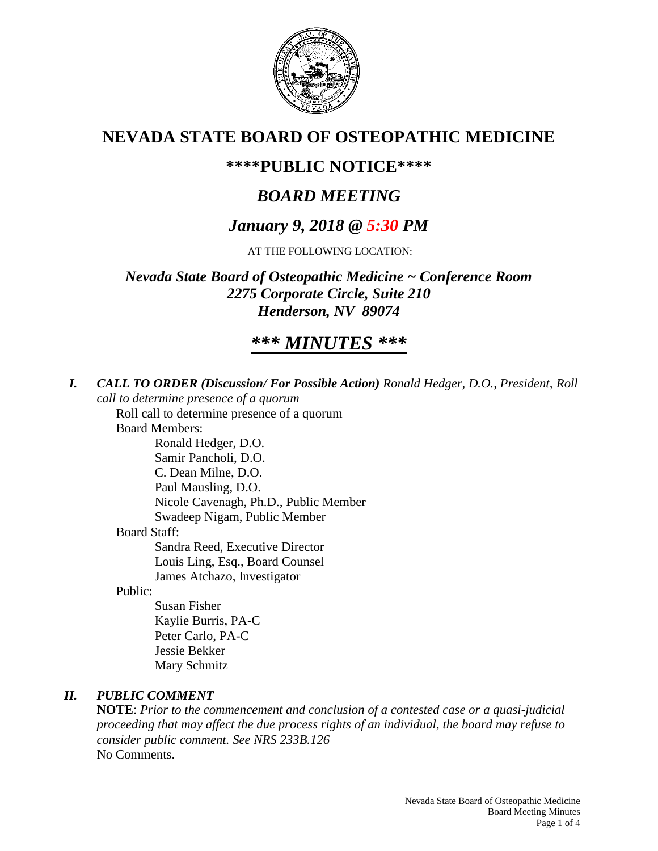

# **NEVADA STATE BOARD OF OSTEOPATHIC MEDICINE**

# **\*\*\*\*PUBLIC NOTICE\*\*\*\***

# *BOARD MEETING*

# *January 9, 2018 @ 5:30 PM*

AT THE FOLLOWING LOCATION:

*Nevada State Board of Osteopathic Medicine ~ Conference Room 2275 Corporate Circle, Suite 210 Henderson, NV 89074*

# *\*\*\* MINUTES \*\*\**

*I. CALL TO ORDER (Discussion/ For Possible Action) Ronald Hedger, D.O., President, Roll call to determine presence of a quorum*

Roll call to determine presence of a quorum Board Members:

Ronald Hedger, D.O. Samir Pancholi, D.O. C. Dean Milne, D.O. Paul Mausling, D.O. Nicole Cavenagh, Ph.D., Public Member Swadeep Nigam, Public Member Board Staff: Sandra Reed, Executive Director Louis Ling, Esq., Board Counsel James Atchazo, Investigator

Public:

Susan Fisher Kaylie Burris, PA-C Peter Carlo, PA-C Jessie Bekker Mary Schmitz

# *II. PUBLIC COMMENT*

**NOTE**: *Prior to the commencement and conclusion of a contested case or a quasi-judicial proceeding that may affect the due process rights of an individual, the board may refuse to consider public comment. See NRS 233B.126* No Comments.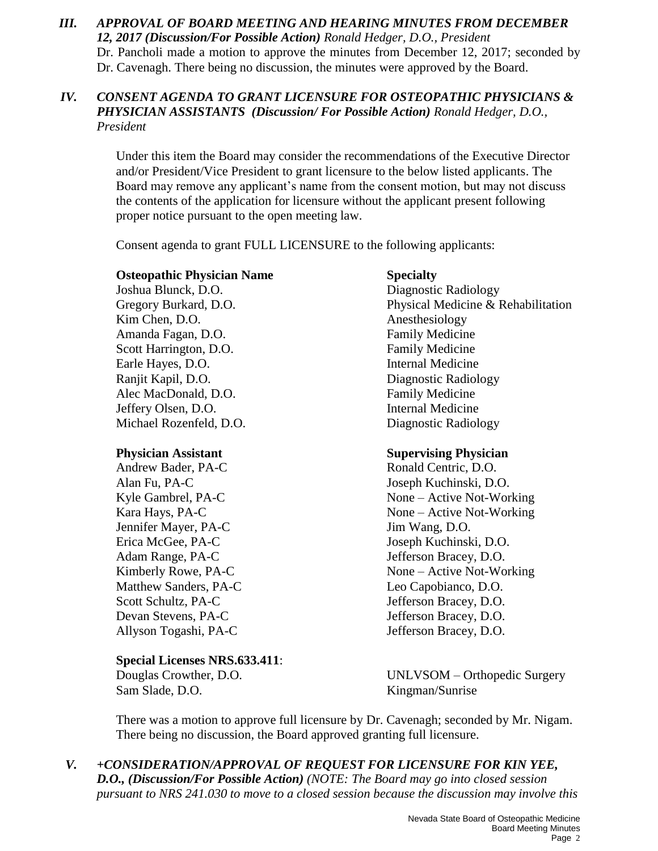*III. APPROVAL OF BOARD MEETING AND HEARING MINUTES FROM DECEMBER 12, 2017 (Discussion/For Possible Action) Ronald Hedger, D.O., President* Dr. Pancholi made a motion to approve the minutes from December 12, 2017; seconded by Dr. Cavenagh. There being no discussion, the minutes were approved by the Board.

## *IV. CONSENT AGENDA TO GRANT LICENSURE FOR OSTEOPATHIC PHYSICIANS & PHYSICIAN ASSISTANTS (Discussion/ For Possible Action) Ronald Hedger, D.O., President*

Under this item the Board may consider the recommendations of the Executive Director and/or President/Vice President to grant licensure to the below listed applicants. The Board may remove any applicant's name from the consent motion, but may not discuss the contents of the application for licensure without the applicant present following proper notice pursuant to the open meeting law.

Consent agenda to grant FULL LICENSURE to the following applicants:

## **Osteopathic Physician Name Specialty**

Joshua Blunck, D.O. Diagnostic Radiology Kim Chen, D.O. Anesthesiology Amanda Fagan, D.O. **Family Medicine** Scott Harrington, D.O. Family Medicine Earle Hayes, D.O. **Internal Medicine** Ranjit Kapil, D.O. Diagnostic Radiology Alec MacDonald, D.O. **Family Medicine** Jeffery Olsen, D.O. Internal Medicine Michael Rozenfeld, D.O. Diagnostic Radiology

Andrew Bader, PA-C Ronald Centric, D.O. Alan Fu, PA-C Joseph Kuchinski, D.O. Jennifer Mayer, PA-C Jim Wang, D.O. Erica McGee, PA-C Joseph Kuchinski, D.O. Adam Range, PA-C Jefferson Bracey, D.O. Matthew Sanders, PA-C Leo Capobianco, D.O. Scott Schultz, PA-C<br>  $J$ efferson Bracey, D.O. Devan Stevens, PA-C Jefferson Bracey, D.O.

### **Special Licenses NRS.633.411**:

Sam Slade, D.O. Kingman/Sunrise

Gregory Burkard, D.O. **Physical Medicine & Rehabilitation** 

## **Physician Assistant Supervising Physician**

Kyle Gambrel, PA-C None – Active Not-Working Kara Hays, PA-C None – Active Not-Working Kimberly Rowe, PA-C None – Active Not-Working Allyson Togashi, PA-C Jefferson Bracey, D.O.

Douglas Crowther, D.O. UNLVSOM – Orthopedic Surgery

There was a motion to approve full licensure by Dr. Cavenagh; seconded by Mr. Nigam. There being no discussion, the Board approved granting full licensure.

*V. +CONSIDERATION/APPROVAL OF REQUEST FOR LICENSURE FOR KIN YEE, D.O., (Discussion/For Possible Action) (NOTE: The Board may go into closed session pursuant to NRS 241.030 to move to a closed session because the discussion may involve this*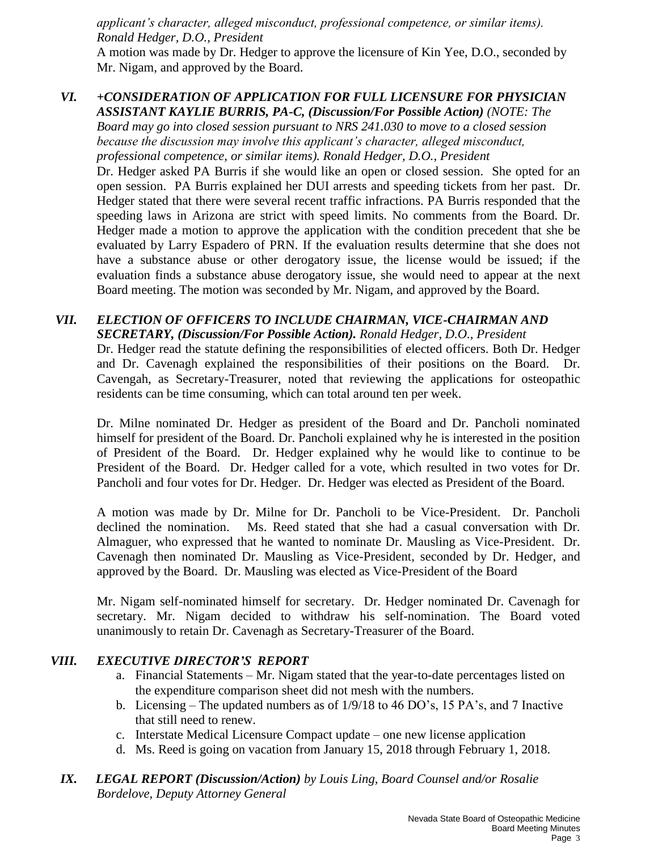*applicant's character, alleged misconduct, professional competence, or similar items). Ronald Hedger, D.O., President*

A motion was made by Dr. Hedger to approve the licensure of Kin Yee, D.O., seconded by Mr. Nigam, and approved by the Board.

## *VI. +CONSIDERATION OF APPLICATION FOR FULL LICENSURE FOR PHYSICIAN ASSISTANT KAYLIE BURRIS, PA-C, (Discussion/For Possible Action) (NOTE: The*

*Board may go into closed session pursuant to NRS 241.030 to move to a closed session because the discussion may involve this applicant's character, alleged misconduct, professional competence, or similar items). Ronald Hedger, D.O., President*

Dr. Hedger asked PA Burris if she would like an open or closed session. She opted for an open session. PA Burris explained her DUI arrests and speeding tickets from her past. Dr. Hedger stated that there were several recent traffic infractions. PA Burris responded that the speeding laws in Arizona are strict with speed limits. No comments from the Board. Dr. Hedger made a motion to approve the application with the condition precedent that she be evaluated by Larry Espadero of PRN. If the evaluation results determine that she does not have a substance abuse or other derogatory issue, the license would be issued; if the evaluation finds a substance abuse derogatory issue, she would need to appear at the next Board meeting. The motion was seconded by Mr. Nigam, and approved by the Board.

# *VII. ELECTION OF OFFICERS TO INCLUDE CHAIRMAN, VICE-CHAIRMAN AND SECRETARY, (Discussion/For Possible Action). Ronald Hedger, D.O., President*  Dr. Hedger read the statute defining the responsibilities of elected officers. Both Dr. Hedger and Dr. Cavenagh explained the responsibilities of their positions on the Board. Dr.

Cavengah, as Secretary-Treasurer, noted that reviewing the applications for osteopathic residents can be time consuming, which can total around ten per week.

Dr. Milne nominated Dr. Hedger as president of the Board and Dr. Pancholi nominated himself for president of the Board. Dr. Pancholi explained why he is interested in the position of President of the Board. Dr. Hedger explained why he would like to continue to be President of the Board. Dr. Hedger called for a vote, which resulted in two votes for Dr. Pancholi and four votes for Dr. Hedger. Dr. Hedger was elected as President of the Board.

A motion was made by Dr. Milne for Dr. Pancholi to be Vice-President. Dr. Pancholi declined the nomination. Ms. Reed stated that she had a casual conversation with Dr. Almaguer, who expressed that he wanted to nominate Dr. Mausling as Vice-President. Dr. Cavenagh then nominated Dr. Mausling as Vice-President, seconded by Dr. Hedger, and approved by the Board. Dr. Mausling was elected as Vice-President of the Board

Mr. Nigam self-nominated himself for secretary. Dr. Hedger nominated Dr. Cavenagh for secretary. Mr. Nigam decided to withdraw his self-nomination. The Board voted unanimously to retain Dr. Cavenagh as Secretary-Treasurer of the Board.

# *VIII. EXECUTIVE DIRECTOR'S REPORT*

- a. Financial Statements Mr. Nigam stated that the year-to-date percentages listed on the expenditure comparison sheet did not mesh with the numbers.
- b. Licensing The updated numbers as of 1/9/18 to 46 DO's, 15 PA's, and 7 Inactive that still need to renew.
- c. Interstate Medical Licensure Compact update one new license application
- d. Ms. Reed is going on vacation from January 15, 2018 through February 1, 2018.
- *IX. LEGAL REPORT (Discussion/Action) by Louis Ling, Board Counsel and/or Rosalie Bordelove, Deputy Attorney General*